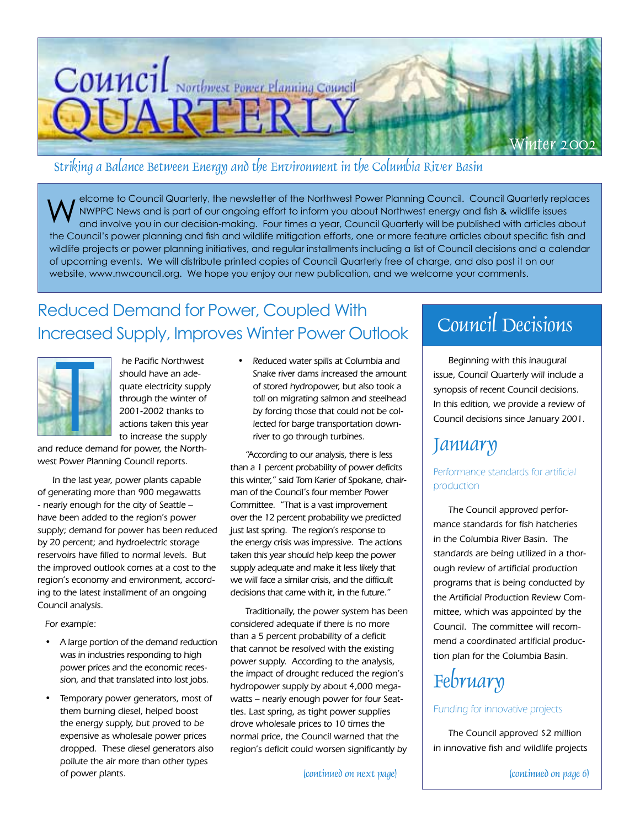

## Striking a Balance Between Energy and the Environment in the Columbia River Basin

elcome to Council Quarterly, the newsletter of the Northwest Power Planning Council. Council Quarterly replaces NWPPC News and is part of our ongoing effort to inform you about Northwest energy and fish & wildlife issues and involve you in our decision-making. Four times a year, Council Quarterly will be published with articles about the Council's power planning and fish and wildlife mitigation efforts, one or more feature articles about specific fish and wildlife projects or power planning initiatives, and regular installments including a list of Council decisions and a calendar of upcoming events. We will distribute printed copies of Council Quarterly free of charge, and also post it on our website, www.nwcouncil.org. We hope you enjoy our new publication, and we welcome your comments. W

## Reduced Demand for Power, Coupled With Increased Supply, Improves Winter Power Outlook



 he Pacific Northwest should have an adequate electricity supply through the winter of 2001-2002 thanks to actions taken this year to increase the supply

and reduce demand for power, the Northwest Power Planning Council reports.

In the last year, power plants capable of generating more than 900 megawatts - nearly enough for the city of Seattle – have been added to the region's power supply; demand for power has been reduced by 20 percent; and hydroelectric storage reservoirs have filled to normal levels. But the improved outlook comes at a cost to the region's economy and environment, according to the latest installment of an ongoing Council analysis.

For example:

- A large portion of the demand reduction was in industries responding to high power prices and the economic recession, and that translated into lost jobs.
- Temporary power generators, most of them burning diesel, helped boost the energy supply, but proved to be expensive as wholesale power prices dropped. These diesel generators also pollute the air more than other types of power plants.

• Reduced water spills at Columbia and Snake river dams increased the amount of stored hydropower, but also took a toll on migrating salmon and steelhead by forcing those that could not be collected for barge transportation downriver to go through turbines.

"According to our analysis, there is less than a 1 percent probability of power deficits this winter," said Tom Karier of Spokane, chairman of the Council's four member Power Committee. "That is a vast improvement over the 12 percent probability we predicted just last spring. The region's response to the energy crisis was impressive. The actions taken this year should help keep the power supply adequate and make it less likely that we will face a similar crisis, and the difficult decisions that came with it, in the future."

Traditionally, the power system has been considered adequate if there is no more than a 5 percent probability of a deficit that cannot be resolved with the existing power supply. According to the analysis, the impact of drought reduced the region's hydropower supply by about 4,000 megawatts – nearly enough power for four Seattles. Last spring, as tight power supplies drove wholesale prices to 10 times the normal price, the Council warned that the region's deficit could worsen significantly by

(continued on next page)

# Council Decisions

Beginning with this inaugural issue, Council Quarterly will include a synopsis of recent Council decisions. In this edition, we provide a review of Council decisions since January 2001.

## January

## Performance standards for artificial production

The Council approved performance standards for fish hatcheries in the Columbia River Basin. The standards are being utilized in a thorough review of artificial production programs that is being conducted by the Artificial Production Review Committee, which was appointed by the Council. The committee will recommend a coordinated artificial production plan for the Columbia Basin.

# **February**

## Funding for innovative projects

The Council approved \$2 million in innovative fish and wildlife projects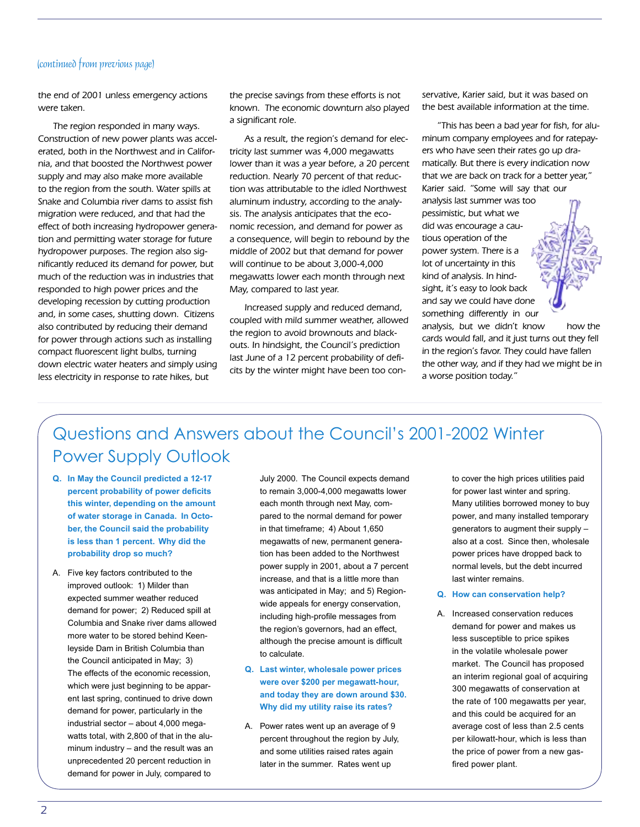#### (continued from previous page)

the end of 2001 unless emergency actions were taken.

The region responded in many ways. Construction of new power plants was accelerated, both in the Northwest and in California, and that boosted the Northwest power supply and may also make more available to the region from the south. Water spills at Snake and Columbia river dams to assist fish migration were reduced, and that had the effect of both increasing hydropower generation and permitting water storage for future hydropower purposes. The region also significantly reduced its demand for power, but much of the reduction was in industries that responded to high power prices and the developing recession by cutting production and, in some cases, shutting down. Citizens also contributed by reducing their demand for power through actions such as installing compact fluorescent light bulbs, turning down electric water heaters and simply using less electricity in response to rate hikes, but

the precise savings from these efforts is not known. The economic downturn also played a significant role.

As a result, the region's demand for electricity last summer was 4,000 megawatts lower than it was a year before, a 20 percent reduction. Nearly 70 percent of that reduction was attributable to the idled Northwest aluminum industry, according to the analysis. The analysis anticipates that the economic recession, and demand for power as a consequence, will begin to rebound by the middle of 2002 but that demand for power will continue to be about 3,000-4,000 megawatts lower each month through next May, compared to last year.

Increased supply and reduced demand, coupled with mild summer weather, allowed the region to avoid brownouts and blackouts. In hindsight, the Council's prediction last June of a 12 percent probability of deficits by the winter might have been too conservative, Karier said, but it was based on the best available information at the time.

"This has been a bad year for fish, for aluminum company employees and for ratepayers who have seen their rates go up dramatically. But there is every indication now that we are back on track for a better year," Karier said. "Some will say that our analysis last summer was too pessimistic, but what we did was encourage a cautious operation of the power system. There is a lot of uncertainty in this kind of analysis. In hindsight, it's easy to look back and say we could have done something differently in our analysis, but we didn't know how the cards would fall, and it just turns out they fell in the region's favor. They could have fallen the other way, and if they had we might be in a worse position today."

## Questions and Answers about the Council's 2001-2002 Winter Power Supply Outlook

- **Q. In May the Council predicted a 12-17 percent probability of power deficits this winter, depending on the amount of water storage in Canada. In October, the Council said the probability is less than 1 percent. Why did the probability drop so much?**
- A. Five key factors contributed to the improved outlook: 1) Milder than expected summer weather reduced demand for power; 2) Reduced spill at Columbia and Snake river dams allowed more water to be stored behind Keenleyside Dam in British Columbia than the Council anticipated in May; 3) The effects of the economic recession, which were just beginning to be apparent last spring, continued to drive down demand for power, particularly in the industrial sector – about 4,000 megawatts total, with 2,800 of that in the aluminum industry – and the result was an unprecedented 20 percent reduction in demand for power in July, compared to

July 2000. The Council expects demand to remain 3,000-4,000 megawatts lower each month through next May, compared to the normal demand for power in that timeframe; 4) About 1,650 megawatts of new, permanent generation has been added to the Northwest power supply in 2001, about a 7 percent increase, and that is a little more than was anticipated in May; and 5) Regionwide appeals for energy conservation, including high-profile messages from the region's governors, had an effect, although the precise amount is difficult to calculate.

- **Q. Last winter, wholesale power prices were over \$200 per megawatt-hour, and today they are down around \$30. Why did my utility raise its rates?**
- A. Power rates went up an average of 9 percent throughout the region by July, and some utilities raised rates again later in the summer. Rates went up

to cover the high prices utilities paid for power last winter and spring. Many utilities borrowed money to buy power, and many installed temporary generators to augment their supply – also at a cost. Since then, wholesale power prices have dropped back to normal levels, but the debt incurred last winter remains.

- **Q. How can conservation help?**
- A. Increased conservation reduces demand for power and makes us less susceptible to price spikes in the volatile wholesale power market. The Council has proposed an interim regional goal of acquiring 300 megawatts of conservation at the rate of 100 megawatts per year, and this could be acquired for an average cost of less than 2.5 cents per kilowatt-hour, which is less than the price of power from a new gasfired power plant.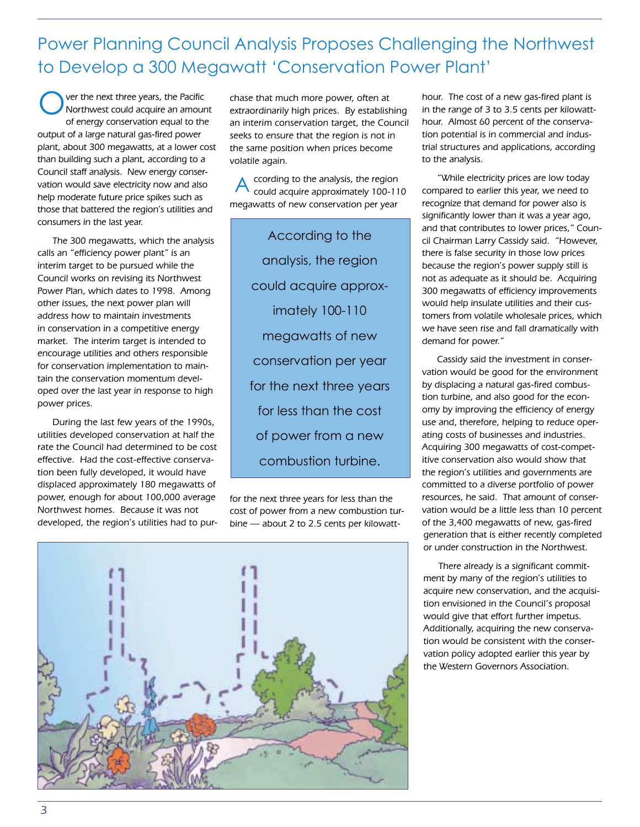Power Planning Council Analysis Proposes Challenging the Northwest to Develop a 300 Megawatt 'Conservation Power Plant'

ver the next three years, the Pacific Northwest could acquire an amount of energy conservation equal to the output of a large natural gas-fired power plant, about 300 megawatts, at a lower cost than building such a plant, according to a Council staff analysis. New energy conservation would save electricity now and also help moderate future price spikes such as those that battered the region's utilities and consumers in the last year. O

The 300 megawatts, which the analysis calls an "efficiency power plant" is an interim target to be pursued while the Council works on revising its Northwest Power Plan, which dates to 1998. Among other issues, the next power plan will address how to maintain investments in conservation in a competitive energy market. The interim target is intended to encourage utilities and others responsible for conservation implementation to maintain the conservation momentum developed over the last year in response to high power prices.

During the last few years of the 1990s, utilities developed conservation at half the rate the Council had determined to be cost effective. Had the cost-effective conservation been fully developed, it would have displaced approximately 180 megawatts of power, enough for about 100,000 average Northwest homes. Because it was not developed, the region's utilities had to purchase that much more power, often at extraordinarily high prices. By establishing an interim conservation target, the Council seeks to ensure that the region is not in the same position when prices become volatile again.

ccording to the analysis, the region could acquire approximately 100-110 megawatts of new conservation per year A

> According to the analysis, the region could acquire approximately 100-110 megawatts of new conservation per year for the next three years for less than the cost of power from a new combustion turbine.

for the next three years for less than the cost of power from a new combustion turbine — about 2 to 2.5 cents per kilowatthour. The cost of a new gas-fired plant is in the range of 3 to 3.5 cents per kilowatthour. Almost 60 percent of the conservation potential is in commercial and industrial structures and applications, according to the analysis.

"While electricity prices are low today compared to earlier this year, we need to recognize that demand for power also is significantly lower than it was a year ago, and that contributes to lower prices," Council Chairman Larry Cassidy said. "However, there is false security in those low prices because the region's power supply still is not as adequate as it should be. Acquiring 300 megawatts of efficiency improvements would help insulate utilities and their customers from volatile wholesale prices, which we have seen rise and fall dramatically with demand for power."

Cassidy said the investment in conservation would be good for the environment by displacing a natural gas-fired combustion turbine, and also good for the economy by improving the efficiency of energy use and, therefore, helping to reduce operating costs of businesses and industries. Acquiring 300 megawatts of cost-competitive conservation also would show that the region's utilities and governments are committed to a diverse portfolio of power resources, he said. That amount of conservation would be a little less than 10 percent of the 3,400 megawatts of new, gas-fired generation that is either recently completed or under construction in the Northwest.

There already is a significant commitment by many of the region's utilities to acquire new conservation, and the acquisition envisioned in the Council's proposal would give that effort further impetus. Additionally, acquiring the new conservation would be consistent with the conservation policy adopted earlier this year by the Western Governors Association.

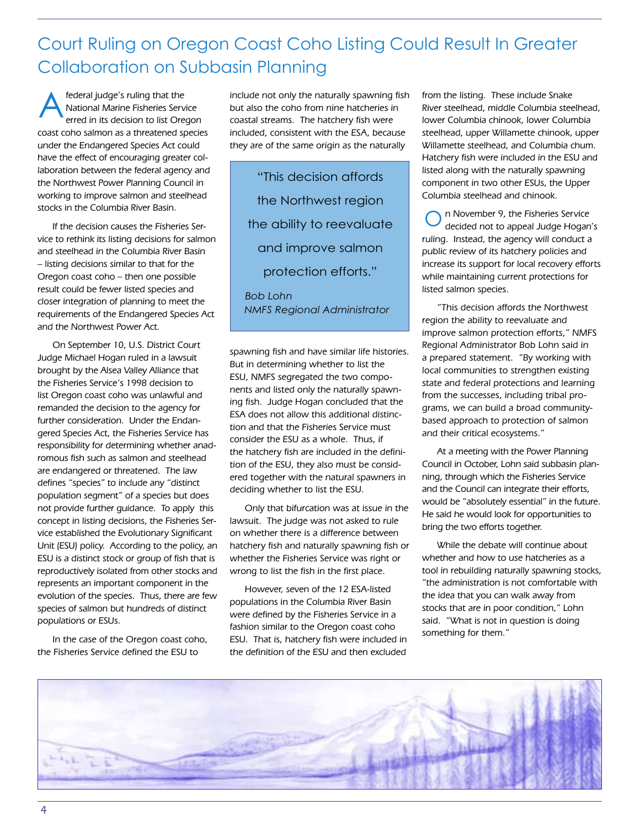## Court Ruling on Oregon Coast Coho Listing Could Result In Greater Collaboration on Subbasin Planning

federal judge's ruling that the National Marine Fisheries Service erred in its decision to list Oregon coast coho salmon as a threatened species under the Endangered Species Act could have the effect of encouraging greater collaboration between the federal agency and the Northwest Power Planning Council in working to improve salmon and steelhead stocks in the Columbia River Basin. A

If the decision causes the Fisheries Service to rethink its listing decisions for salmon and steelhead in the Columbia River Basin – listing decisions similar to that for the Oregon coast coho – then one possible result could be fewer listed species and closer integration of planning to meet the requirements of the Endangered Species Act and the Northwest Power Act.

On September 10, U.S. District Court Judge Michael Hogan ruled in a lawsuit brought by the Alsea Valley Alliance that the Fisheries Service's 1998 decision to list Oregon coast coho was unlawful and remanded the decision to the agency for further consideration. Under the Endangered Species Act, the Fisheries Service has responsibility for determining whether anadromous fish such as salmon and steelhead are endangered or threatened. The law defines "species" to include any "distinct population segment" of a species but does not provide further guidance. To apply this concept in listing decisions, the Fisheries Service established the Evolutionary Significant Unit (ESU) policy. According to the policy, an ESU is a distinct stock or group of fish that is reproductively isolated from other stocks and represents an important component in the evolution of the species. Thus, there are few species of salmon but hundreds of distinct populations or ESUs.

In the case of the Oregon coast coho, the Fisheries Service defined the ESU to

include not only the naturally spawning fish but also the coho from nine hatcheries in coastal streams. The hatchery fish were included, consistent with the ESA, because they are of the same origin as the naturally

"This decision affords the Northwest region the ability to reevaluate and improve salmon protection efforts."

*Bob Lohn NMFS Regional Administrator*

spawning fish and have similar life histories. But in determining whether to list the ESU, NMFS segregated the two components and listed only the naturally spawning fish. Judge Hogan concluded that the ESA does not allow this additional distinction and that the Fisheries Service must consider the ESU as a whole. Thus, if the hatchery fish are included in the definition of the ESU, they also must be considered together with the natural spawners in deciding whether to list the ESU.

Only that bifurcation was at issue in the lawsuit. The judge was not asked to rule on whether there is a difference between hatchery fish and naturally spawning fish or whether the Fisheries Service was right or wrong to list the fish in the first place.

However, seven of the 12 ESA-listed populations in the Columbia River Basin were defined by the Fisheries Service in a fashion similar to the Oregon coast coho ESU. That is, hatchery fish were included in the definition of the ESU and then excluded

from the listing. These include Snake River steelhead, middle Columbia steelhead, lower Columbia chinook, lower Columbia steelhead, upper Willamette chinook, upper Willamette steelhead, and Columbia chum. Hatchery fish were included in the ESU and listed along with the naturally spawning component in two other ESUs, the Upper Columbia steelhead and chinook.

n November 9, the Fisheries Service decided not to appeal Judge Hogan's ruling. Instead, the agency will conduct a public review of its hatchery policies and increase its support for local recovery efforts while maintaining current protections for listed salmon species. O

"This decision affords the Northwest region the ability to reevaluate and improve salmon protection efforts," NMFS Regional Administrator Bob Lohn said in a prepared statement. "By working with local communities to strengthen existing state and federal protections and learning from the successes, including tribal programs, we can build a broad communitybased approach to protection of salmon and their critical ecosystems."

At a meeting with the Power Planning Council in October, Lohn said subbasin planning, through which the Fisheries Service and the Council can integrate their efforts, would be "absolutely essential" in the future. He said he would look for opportunities to bring the two efforts together.

While the debate will continue about whether and how to use hatcheries as a tool in rebuilding naturally spawning stocks, "the administration is not comfortable with the idea that you can walk away from stocks that are in poor condition," Lohn said. "What is not in question is doing something for them."

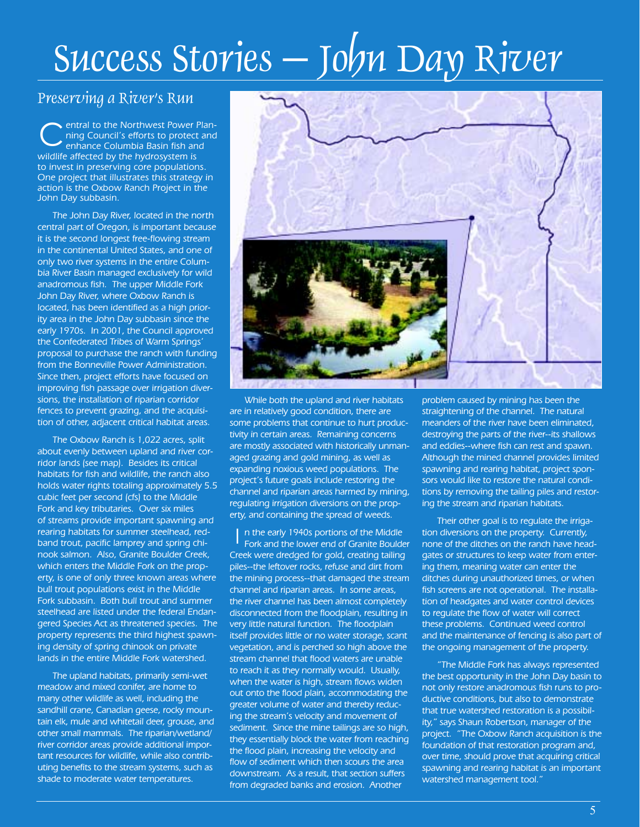# Success Stories – John Day River

## Preserving a River's Run

entral to the Northwest Power Planning Council's efforts to protect and enhance Columbia Basin fish and wildlife affected by the hydrosystem is to invest in preserving core populations. One project that illustrates this strategy in action is the Oxbow Ranch Project in the John Day subbasin. C

The John Day River, located in the north central part of Oregon, is important because it is the second longest free-flowing stream in the continental United States, and one of only two river systems in the entire Columbia River Basin managed exclusively for wild anadromous fish. The upper Middle Fork John Day River, where Oxbow Ranch is located, has been identified as a high priority area in the John Day subbasin since the early 1970s. In 2001, the Council approved the Confederated Tribes of Warm Springs' proposal to purchase the ranch with funding from the Bonneville Power Administration. Since then, project efforts have focused on improving fish passage over irrigation diversions, the installation of riparian corridor fences to prevent grazing, and the acquisition of other, adjacent critical habitat areas.

The Oxbow Ranch is 1,022 acres, split about evenly between upland and river corridor lands (see map). Besides its critical habitats for fish and wildlife, the ranch also holds water rights totaling approximately 5.5 cubic feet per second (cfs) to the Middle Fork and key tributaries. Over six miles of streams provide important spawning and rearing habitats for summer steelhead, redband trout, pacific lamprey and spring chinook salmon. Also, Granite Boulder Creek, which enters the Middle Fork on the property, is one of only three known areas where bull trout populations exist in the Middle Fork subbasin. Both bull trout and summer steelhead are listed under the federal Endangered Species Act as threatened species. The property represents the third highest spawning density of spring chinook on private lands in the entire Middle Fork watershed.

The upland habitats, primarily semi-wet meadow and mixed conifer, are home to many other wildlife as well, including the sandhill crane, Canadian geese, rocky mountain elk, mule and whitetail deer, grouse, and other small mammals. The riparian/wetland/ river corridor areas provide additional important resources for wildlife, while also contributing benefits to the stream systems, such as shade to moderate water temperatures.



While both the upland and river habitats are in relatively good condition, there are some problems that continue to hurt productivity in certain areas. Remaining concerns are mostly associated with historically unmanaged grazing and gold mining, as well as expanding noxious weed populations. The project's future goals include restoring the channel and riparian areas harmed by mining, regulating irrigation diversions on the property, and containing the spread of weeds.

n the early 1940s portions of the Middle Fork and the lower end of Granite Boulder Creek were dredged for gold, creating tailing piles--the leftover rocks, refuse and dirt from the mining process--that damaged the stream channel and riparian areas. In some areas, the river channel has been almost completely disconnected from the floodplain, resulting in very little natural function. The floodplain itself provides little or no water storage, scant vegetation, and is perched so high above the stream channel that flood waters are unable to reach it as they normally would. Usually, when the water is high, stream flows widen out onto the flood plain, accommodating the greater volume of water and thereby reducing the stream's velocity and movement of sediment. Since the mine tailings are so high, they essentially block the water from reaching the flood plain, increasing the velocity and flow of sediment which then scours the area downstream. As a result, that section suffers from degraded banks and erosion. Another I

problem caused by mining has been the straightening of the channel. The natural meanders of the river have been eliminated, destroying the parts of the river--its shallows and eddies--where fish can rest and spawn. Although the mined channel provides limited spawning and rearing habitat, project sponsors would like to restore the natural conditions by removing the tailing piles and restoring the stream and riparian habitats.

Their other goal is to regulate the irrigation diversions on the property. Currently, none of the ditches on the ranch have headgates or structures to keep water from entering them, meaning water can enter the ditches during unauthorized times, or when fish screens are not operational. The installation of headgates and water control devices to regulate the flow of water will correct these problems. Continued weed control and the maintenance of fencing is also part of the ongoing management of the property.

"The Middle Fork has always represented the best opportunity in the John Day basin to not only restore anadromous fish runs to productive conditions, but also to demonstrate that true watershed restoration is a possibility," says Shaun Robertson, manager of the project. "The Oxbow Ranch acquisition is the foundation of that restoration program and, over time, should prove that acquiring critical spawning and rearing habitat is an important watershed management tool."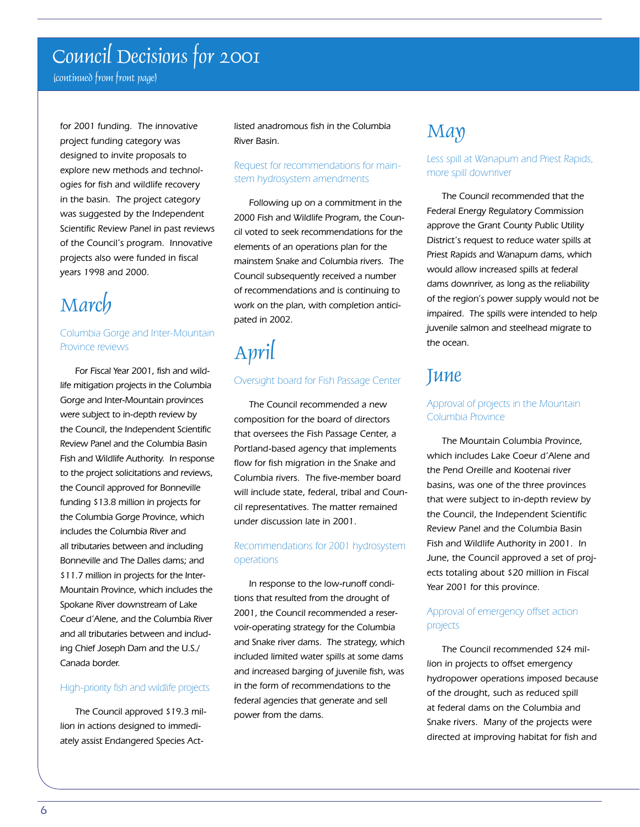## Council Decisions for 2001

(continued from front page)

for 2001 funding. The innovative project funding category was designed to invite proposals to explore new methods and technologies for fish and wildlife recovery in the basin. The project category was suggested by the Independent Scientific Review Panel in past reviews of the Council's program. Innovative projects also were funded in fiscal years 1998 and 2000.

## March

## Columbia Gorge and Inter-Mountain Province reviews

For Fiscal Year 2001, fish and wildlife mitigation projects in the Columbia Gorge and Inter-Mountain provinces were subject to in-depth review by the Council, the Independent Scientific Review Panel and the Columbia Basin Fish and Wildlife Authority. In response to the project solicitations and reviews, the Council approved for Bonneville funding \$13.8 million in projects for the Columbia Gorge Province, which includes the Columbia River and all tributaries between and including Bonneville and The Dalles dams; and \$11.7 million in projects for the Inter-Mountain Province, which includes the Spokane River downstream of Lake Coeur d'Alene, and the Columbia River and all tributaries between and including Chief Joseph Dam and the U.S./ Canada border.

#### High-priority fish and wildlife projects

The Council approved \$19.3 million in actions designed to immediately assist Endangered Species Actlisted anadromous fish in the Columbia River Basin.

## Request for recommendations for mainstem hydrosystem amendments

Following up on a commitment in the 2000 Fish and Wildlife Program, the Council voted to seek recommendations for the elements of an operations plan for the mainstem Snake and Columbia rivers. The Council subsequently received a number of recommendations and is continuing to work on the plan, with completion anticipated in 2002.

# April

#### Oversight board for Fish Passage Center

The Council recommended a new composition for the board of directors that oversees the Fish Passage Center, a Portland-based agency that implements flow for fish migration in the Snake and Columbia rivers. The five-member board will include state, federal, tribal and Council representatives. The matter remained under discussion late in 2001.

## Recommendations for 2001 hydrosystem operations

In response to the low-runoff conditions that resulted from the drought of 2001, the Council recommended a reservoir-operating strategy for the Columbia and Snake river dams. The strategy, which included limited water spills at some dams and increased barging of juvenile fish, was in the form of recommendations to the federal agencies that generate and sell power from the dams.

## May

## Less spill at Wanapum and Priest Rapids, more spill downriver

The Council recommended that the Federal Energy Regulatory Commission approve the Grant County Public Utility District's request to reduce water spills at Priest Rapids and Wanapum dams, which would allow increased spills at federal dams downriver, as long as the reliability of the region's power supply would not be impaired. The spills were intended to help juvenile salmon and steelhead migrate to the ocean.

## June

## Approval of projects in the Mountain Columbia Province

The Mountain Columbia Province, which includes Lake Coeur d'Alene and the Pend Oreille and Kootenai river basins, was one of the three provinces that were subject to in-depth review by the Council, the Independent Scientific Review Panel and the Columbia Basin Fish and Wildlife Authority in 2001. In June, the Council approved a set of projects totaling about \$20 million in Fiscal Year 2001 for this province.

## Approval of emergency offset action projects

The Council recommended \$24 million in projects to offset emergency hydropower operations imposed because of the drought, such as reduced spill at federal dams on the Columbia and Snake rivers. Many of the projects were directed at improving habitat for fish and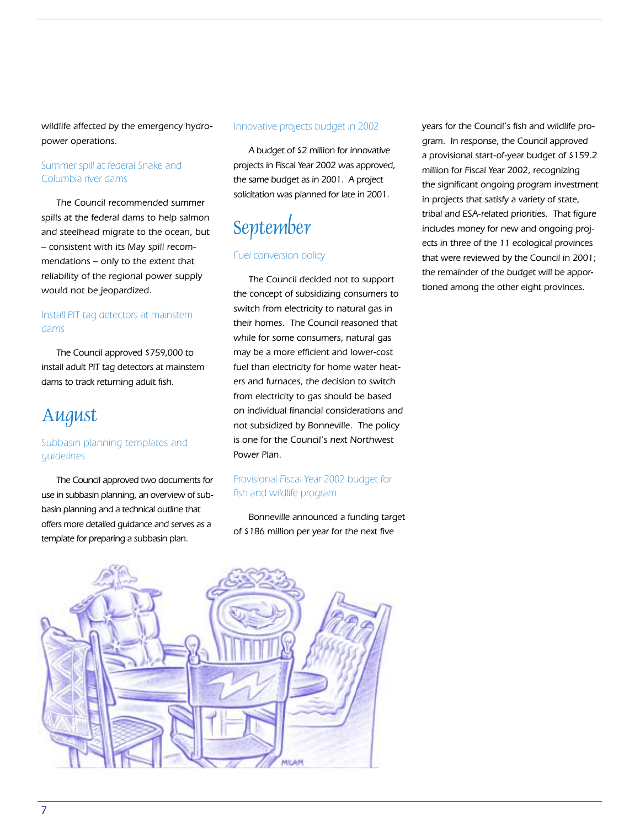wildlife affected by the emergency hydropower operations.

## Summer spill at federal Snake and Columbia river dams

The Council recommended summer spills at the federal dams to help salmon and steelhead migrate to the ocean, but – consistent with its May spill recommendations – only to the extent that reliability of the regional power supply would not be jeopardized.

## Install PIT tag detectors at mainstem dams

The Council approved \$759,000 to install adult PIT tag detectors at mainstem dams to track returning adult fish.

## August

## Subbasin planning templates and guidelines

The Council approved two documents for use in subbasin planning, an overview of subbasin planning and a technical outline that offers more detailed guidance and serves as a template for preparing a subbasin plan.

#### Innovative projects budget in 2002

A budget of \$2 million for innovative projects in Fiscal Year 2002 was approved, the same budget as in 2001. A project solicitation was planned for late in 2001.

# September

#### Fuel conversion policy

The Council decided not to support the concept of subsidizing consumers to switch from electricity to natural gas in their homes. The Council reasoned that while for some consumers, natural gas may be a more efficient and lower-cost fuel than electricity for home water heaters and furnaces, the decision to switch from electricity to gas should be based on individual financial considerations and not subsidized by Bonneville. The policy is one for the Council's next Northwest Power Plan.

## Provisional Fiscal Year 2002 budget for fish and wildlife program

Bonneville announced a funding target of \$186 million per year for the next five

years for the Council's fish and wildlife program. In response, the Council approved a provisional start-of-year budget of \$159.2 million for Fiscal Year 2002, recognizing the significant ongoing program investment in projects that satisfy a variety of state, tribal and ESA-related priorities. That figure includes money for new and ongoing projects in three of the 11 ecological provinces that were reviewed by the Council in 2001; the remainder of the budget will be apportioned among the other eight provinces.

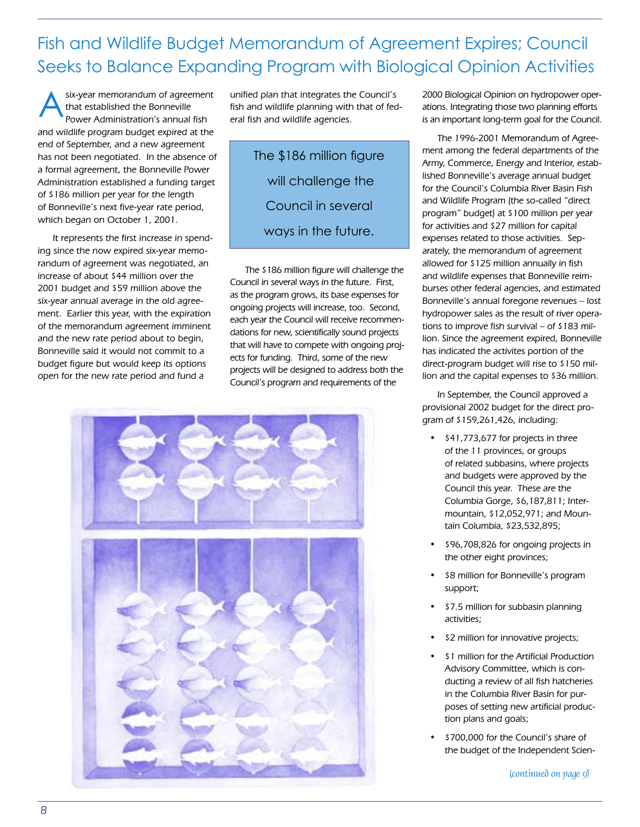## Fish and Wildlife Budget Memorandum of Agreement Expires; Council Seeks to Balance Expanding Program with Biological Opinion Activities

six-year memorandum of agreement that established the Bonneville Power Administration's annual fish and wildlife program budget expired at the end of September, and a new agreement has not been negotiated. In the absence of a formal agreement, the Bonneville Power Administration established a funding target of \$186 million per year for the length of Bonneville's next five-year rate period, which began on October 1, 2001. A

It represents the first increase in spending since the now expired six-year memorandum of agreement was negotiated, an increase of about \$44 million over the 2001 budget and \$59 million above the six-year annual average in the old agreement. Earlier this year, with the expiration of the memorandum agreement imminent and the new rate period about to begin, Bonneville said it would not commit to a budget figure but would keep its options open for the new rate period and fund a

unified plan that integrates the Council's fish and wildlife planning with that of federal fish and wildlife agencies.

> The \$186 million figure will challenge the Council in several ways in the future.

The \$186 million figure will challenge the Council in several ways in the future. First, as the program grows, its base expenses for ongoing projects will increase, too. Second, each year the Council will receive recommendations for new, scientifically sound projects that will have to compete with ongoing projects for funding. Third, some of the new projects will be designed to address both the Council's program and requirements of the



2000 Biological Opinion on hydropower operations. Integrating those two planning efforts is an important long-term goal for the Council.

The 1996-2001 Memorandum of Agreement among the federal departments of the Army, Commerce, Energy and Interior, established Bonneville's average annual budget for the Council's Columbia River Basin Fish and Wildlife Program (the so-called "direct program" budget) at \$100 million per year for activities and \$27 million for capital expenses related to those activities. Separately, the memorandum of agreement allowed for \$125 million annually in fish and wildlife expenses that Bonneville reimburses other federal agencies, and estimated Bonneville's annual foregone revenues – lost hydropower sales as the result of river operations to improve fish survival – of \$183 million. Since the agreement expired, Bonneville has indicated the activites portion of the direct-program budget will rise to \$150 million and the capital expenses to \$36 million.

In September, the Council approved a provisional 2002 budget for the direct program of \$159,261,426, including:

- \$41,773,677 for projects in three of the 11 provinces, or groups of related subbasins, where projects and budgets were approved by the Council this year. These are the Columbia Gorge, \$6,187,811; Intermountain, \$12,052,971; and Mountain Columbia, \$23,532,895;
- \$96,708,826 for ongoing projects in the other eight provinces;
- \$8 million for Bonneville's program support;
- \$7.5 million for subbasin planning activities;
- \$2 million for innovative projects;
- \$1 million for the Artificial Production Advisory Committee, which is conducting a review of all fish hatcheries in the Columbia River Basin for purposes of setting new artificial production plans and goals;
- \$700,000 for the Council's share of the budget of the Independent Scien-

(continued on page 9)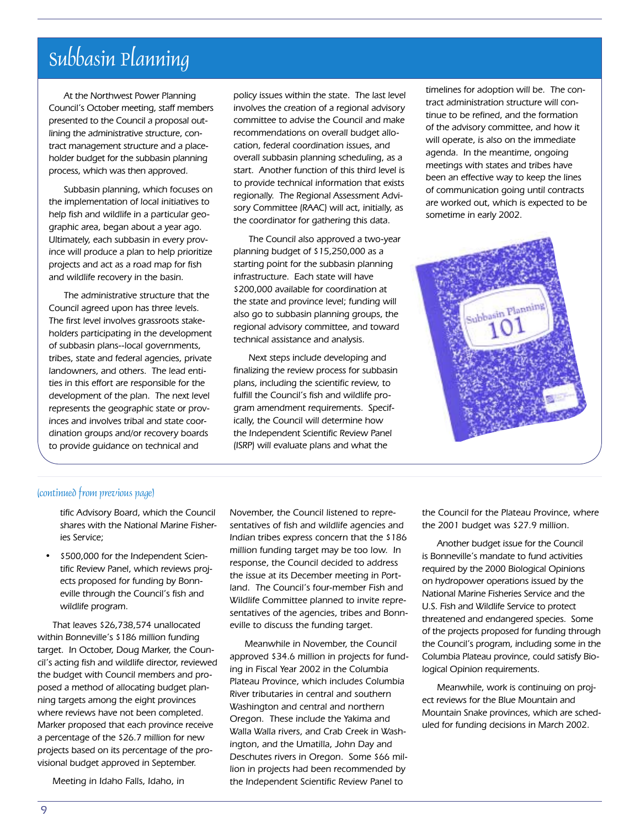## Subbasin Planning

At the Northwest Power Planning Council's October meeting, staff members presented to the Council a proposal outlining the administrative structure, contract management structure and a placeholder budget for the subbasin planning process, which was then approved.

Subbasin planning, which focuses on the implementation of local initiatives to help fish and wildlife in a particular geographic area, began about a year ago. Ultimately, each subbasin in every province will produce a plan to help prioritize projects and act as a road map for fish and wildlife recovery in the basin.

The administrative structure that the Council agreed upon has three levels. The first level involves grassroots stakeholders participating in the development of subbasin plans--local governments, tribes, state and federal agencies, private landowners, and others. The lead entities in this effort are responsible for the development of the plan. The next level represents the geographic state or provinces and involves tribal and state coordination groups and/or recovery boards to provide guidance on technical and

policy issues within the state. The last level involves the creation of a regional advisory committee to advise the Council and make recommendations on overall budget allocation, federal coordination issues, and overall subbasin planning scheduling, as a start. Another function of this third level is to provide technical information that exists regionally. The Regional Assessment Advisory Committee (RAAC) will act, initially, as the coordinator for gathering this data.

The Council also approved a two-year planning budget of \$15,250,000 as a starting point for the subbasin planning infrastructure. Each state will have \$200,000 available for coordination at the state and province level; funding will also go to subbasin planning groups, the regional advisory committee, and toward technical assistance and analysis.

Next steps include developing and finalizing the review process for subbasin plans, including the scientific review, to fulfill the Council's fish and wildlife program amendment requirements. Specifically, the Council will determine how the Independent Scientific Review Panel (ISRP) will evaluate plans and what the

timelines for adoption will be. The contract administration structure will continue to be refined, and the formation of the advisory committee, and how it will operate, is also on the immediate agenda. In the meantime, ongoing meetings with states and tribes have been an effective way to keep the lines of communication going until contracts are worked out, which is expected to be sometime in early 2002.



#### (continued from previous page)

tific Advisory Board, which the Council shares with the National Marine Fisheries Service;

• \$500,000 for the Independent Scientific Review Panel, which reviews projects proposed for funding by Bonneville through the Council's fish and wildlife program.

That leaves \$26,738,574 unallocated within Bonneville's \$186 million funding target. In October, Doug Marker, the Council's acting fish and wildlife director, reviewed the budget with Council members and proposed a method of allocating budget planning targets among the eight provinces where reviews have not been completed. Marker proposed that each province receive a percentage of the \$26.7 million for new projects based on its percentage of the provisional budget approved in September.

Meeting in Idaho Falls, Idaho, in

November, the Council listened to representatives of fish and wildlife agencies and Indian tribes express concern that the \$186 million funding target may be too low. In response, the Council decided to address the issue at its December meeting in Portland. The Council's four-member Fish and Wildlife Committee planned to invite representatives of the agencies, tribes and Bonneville to discuss the funding target.

Meanwhile in November, the Council approved \$34.6 million in projects for funding in Fiscal Year 2002 in the Columbia Plateau Province, which includes Columbia River tributaries in central and southern Washington and central and northern Oregon. These include the Yakima and Walla Walla rivers, and Crab Creek in Washington, and the Umatilla, John Day and Deschutes rivers in Oregon. Some \$66 million in projects had been recommended by the Independent Scientific Review Panel to

the Council for the Plateau Province, where the 2001 budget was \$27.9 million.

Another budget issue for the Council is Bonneville's mandate to fund activities required by the 2000 Biological Opinions on hydropower operations issued by the National Marine Fisheries Service and the U.S. Fish and Wildlife Service to protect threatened and endangered species. Some of the projects proposed for funding through the Council's program, including some in the Columbia Plateau province, could satisfy Biological Opinion requirements.

Meanwhile, work is continuing on project reviews for the Blue Mountain and Mountain Snake provinces, which are scheduled for funding decisions in March 2002.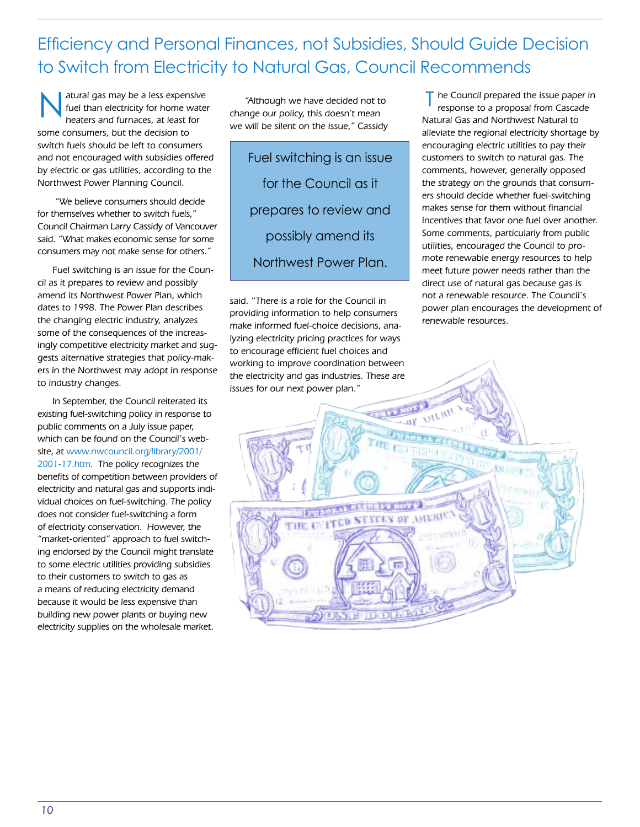## Efficiency and Personal Finances, not Subsidies, Should Guide Decision to Switch from Electricity to Natural Gas, Council Recommends

atural gas may be a less expensive fuel than electricity for home water heaters and furnaces, at least for some consumers, but the decision to switch fuels should be left to consumers and not encouraged with subsidies offered by electric or gas utilities, according to the Northwest Power Planning Council. atural gas may be a less expensive "Although we have decided not to<br>fuel than electricity for home water<br>heaters and furnaces, at least for<br>law we will be gilent on the issue "Cassichy Ma

 "We believe consumers should decide for themselves whether to switch fuels," Council Chairman Larry Cassidy of Vancouver said. "What makes economic sense for some consumers may not make sense for others."

Fuel switching is an issue for the Council as it prepares to review and possibly amend its Northwest Power Plan, which dates to 1998. The Power Plan describes the changing electric industry, analyzes some of the consequences of the increasingly competitive electricity market and suggests alternative strategies that policy-makers in the Northwest may adopt in response to industry changes.

In September, the Council reiterated its existing fuel-switching policy in response to public comments on a July issue paper, which can be found on the Council's website, at www.nwcouncil.org/library/2001/ 2001-17.htm. The policy recognizes the benefits of competition between providers of electricity and natural gas and supports individual choices on fuel-switching. The policy does not consider fuel-switching a form of electricity conservation. However, the "market-oriented" approach to fuel switching endorsed by the Council might translate to some electric utilities providing subsidies to their customers to switch to gas as a means of reducing electricity demand because it would be less expensive than building new power plants or buying new electricity supplies on the wholesale market.

"Although we have decided not to we will be silent on the issue," Cassidy

Fuel switching is an issue for the Council as it prepares to review and possibly amend its Northwest Power Plan.

said. "There is a role for the Council in providing information to help consumers make informed fuel-choice decisions, analyzing electricity pricing practices for ways to encourage efficient fuel choices and working to improve coordination between the electricity and gas industries. These are issues for our next power plan."

 $\mathsf T$  he Council prepared the issue paper in response to a proposal from Cascade Natural Gas and Northwest Natural to alleviate the regional electricity shortage by encouraging electric utilities to pay their customers to switch to natural gas. The comments, however, generally opposed the strategy on the grounds that consumers should decide whether fuel-switching makes sense for them without financial incentives that favor one fuel over another. Some comments, particularly from public utilities, encouraged the Council to promote renewable energy resources to help meet future power needs rather than the direct use of natural gas because gas is not a renewable resource. The Council's power plan encourages the development of renewable resources.

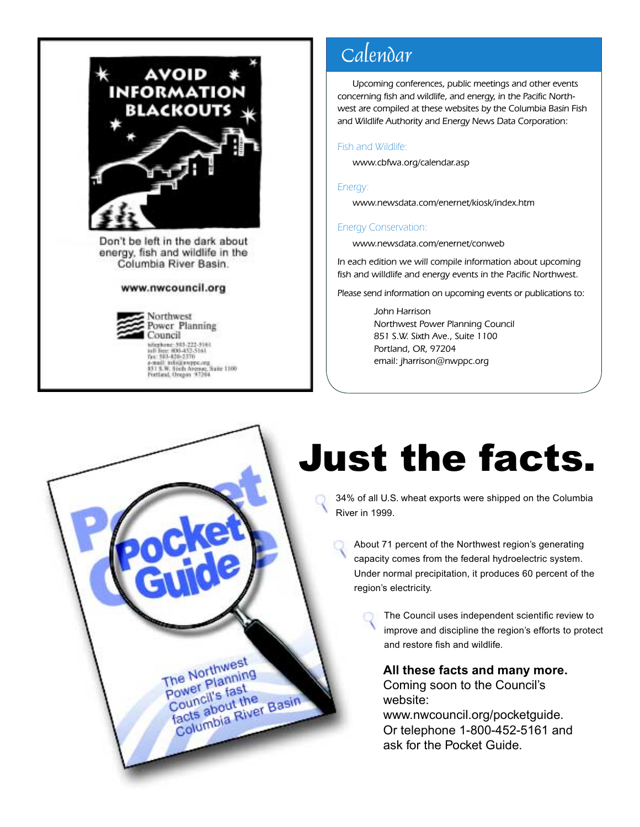

Don't be left in the dark about energy, fish and wildlife in the Columbia River Basin.

#### www.nwcouncil.org

Northwest Power Planning Council Container 303-222-3161<br>101 Dez: 800-452-5161<br>101 Dez: 800-452-5161<br>6-mail: info@nappe.org<br>431 S.W. Sixth Avenue, Suite 1100<br>Portland, Oregon 37204

> The Northwest The Northwest<br>Power Planning<br>Power list the Power Plannet<br>Council's fast

power li's fast<br>Council's fast<br>facts about the

ower Fis fast<br>Council's fast<br>facts about the<br>Columbia River Basin

## Calendar

Upcoming conferences, public meetings and other events concerning fish and wildlife, and energy, in the Pacific Northwest are compiled at these websites by the Columbia Basin Fish and Wildlife Authority and Energy News Data Corporation:

#### Fish and Wildlife:

www.cbfwa.org/calendar.asp

#### Energy:

www.newsdata.com/enernet/kiosk/index.htm

#### Energy Conservation:

www.newsdata.com/enernet/conweb

In each edition we will compile information about upcoming fish and willdlife and energy events in the Pacific Northwest.

Please send information on upcoming events or publications to:

John Harrison Northwest Power Planning Council 851 S.W. Sixth Ave., Suite 1100 Portland, OR, 97204 email: jharrison@nwppc.org

# Just the facts.

34% of all U.S. wheat exports were shipped on the Columbia River in 1999.

About 71 percent of the Northwest region's generating capacity comes from the federal hydroelectric system. Under normal precipitation, it produces 60 percent of the region's electricity.

> The Council uses independent scientific review to improve and discipline the region's efforts to protect and restore fish and wildlife.

**All these facts and many more.** Coming soon to the Council's website:

www.nwcouncil.org/pocketguide. Or telephone 1-800-452-5161 and ask for the Pocket Guide.